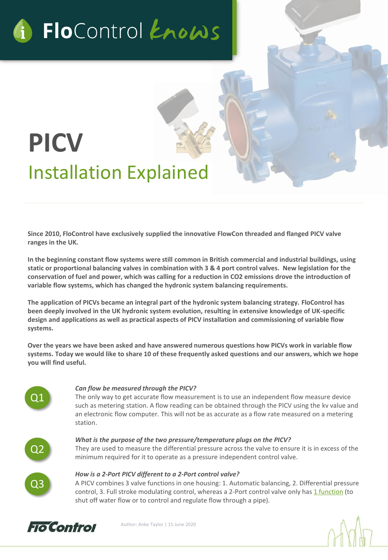# G FloControl Enows

## **PICV** Installation Explained

**Since 2010, FloControl have exclusively supplied the innovative FlowCon threaded and flanged PICV valve ranges in the UK.** 

**In the beginning constant flow systems were still common in British commercial and industrial buildings, using static or proportional balancing valves in combination with 3 & 4 port control valves. New legislation for the conservation of fuel and power, which was calling for a reduction in CO2 emissions drove the introduction of variable flow systems, which has changed the hydronic system balancing requirements.** 

**The application of PICVs became an integral part of the hydronic system balancing strategy. FloControl has been deeply involved in the UK hydronic system evolution, resulting in extensive knowledge of UK-specific design and applications as well as practical aspects of PICV installation and commissioning of variable flow systems.** 

**Over the years we have been asked and have answered numerous questions how PICVs work in variable flow systems. Today we would like to share 10 of these frequently asked questions and our answers, which we hope you will find useful.** 

# Q1

#### *Can flow be measured through the PICV?*

The only way to get accurate flow measurement is to use an independent flow measure device such as metering station. A flow reading can be obtained through the PICV using the kv value and an electronic flow computer. This will not be as accurate as a flow rate measured on a metering station.



### *What is the purpose of the two pressure/temperature plugs on the PICV?*

They are used to measure the differential pressure across the valve to ensure it is in excess of the minimum required for it to operate as a pressure independent control valve.

#### *How is a 2-Port PICV different to a 2-Port control valve?*

A PICV combines 3 valve functions in one housing: 1. Automatic balancing, 2. Differential pressure control, 3. Full stroke modulating control, whereas a 2-Port control valve only has [1 function](https://www.grundfos.com/service-support/encyclopedia-search/2-way-valve.html#:~:text=The%20purpose%20of%20a%202,is%20characterized%20by%20two%20ports.) (to shut off water flow or to control and regulate flow through a pipe).



Author: Anke Taylor | 15 June 2020